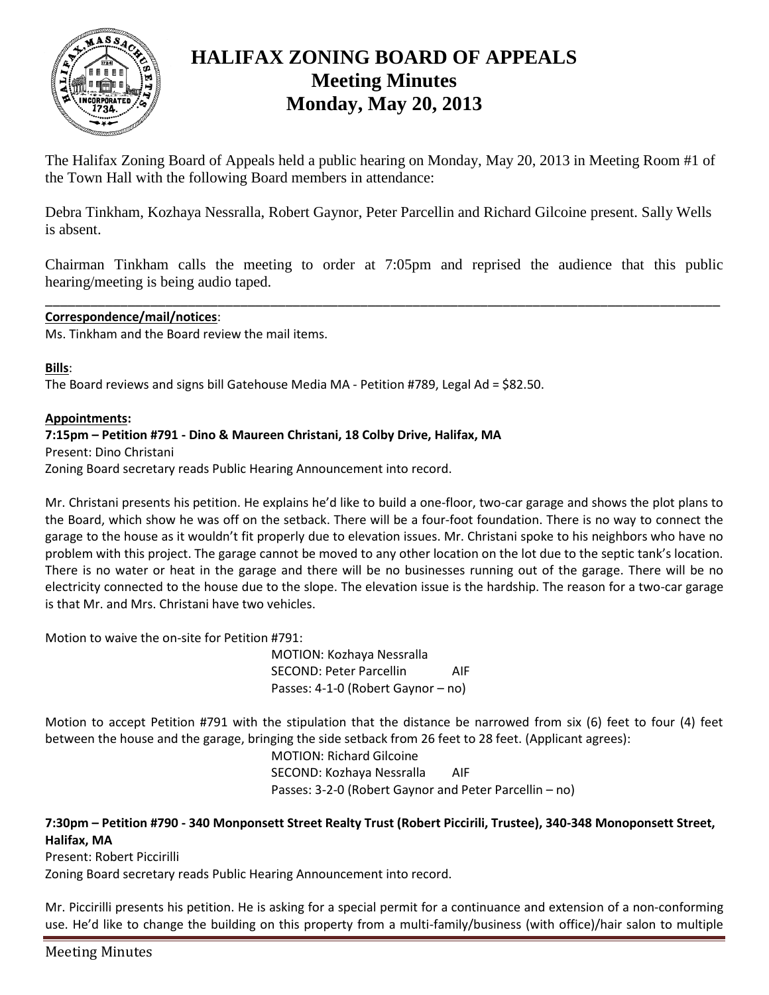

# **HALIFAX ZONING BOARD OF APPEALS Meeting Minutes Monday, May 20, 2013**

The Halifax Zoning Board of Appeals held a public hearing on Monday, May 20, 2013 in Meeting Room #1 of the Town Hall with the following Board members in attendance:

Debra Tinkham, Kozhaya Nessralla, Robert Gaynor, Peter Parcellin and Richard Gilcoine present. Sally Wells is absent.

Chairman Tinkham calls the meeting to order at 7:05pm and reprised the audience that this public hearing/meeting is being audio taped.

\_\_\_\_\_\_\_\_\_\_\_\_\_\_\_\_\_\_\_\_\_\_\_\_\_\_\_\_\_\_\_\_\_\_\_\_\_\_\_\_\_\_\_\_\_\_\_\_\_\_\_\_\_\_\_\_\_\_\_\_\_\_\_\_\_\_\_\_\_\_\_\_\_\_\_\_\_\_\_\_\_\_\_\_\_\_\_\_\_\_

## **Correspondence/mail/notices**:

Ms. Tinkham and the Board review the mail items.

#### **Bills**:

The Board reviews and signs bill Gatehouse Media MA - Petition #789, Legal Ad = \$82.50.

#### **Appointments:**

## **7:15pm – Petition #791 - Dino & Maureen Christani, 18 Colby Drive, Halifax, MA**

Present: Dino Christani Zoning Board secretary reads Public Hearing Announcement into record.

Mr. Christani presents his petition. He explains he'd like to build a one-floor, two-car garage and shows the plot plans to the Board, which show he was off on the setback. There will be a four-foot foundation. There is no way to connect the garage to the house as it wouldn't fit properly due to elevation issues. Mr. Christani spoke to his neighbors who have no problem with this project. The garage cannot be moved to any other location on the lot due to the septic tank's location. There is no water or heat in the garage and there will be no businesses running out of the garage. There will be no electricity connected to the house due to the slope. The elevation issue is the hardship. The reason for a two-car garage is that Mr. and Mrs. Christani have two vehicles.

Motion to waive the on-site for Petition #791:

MOTION: Kozhaya Nessralla SECOND: Peter Parcellin AIF Passes: 4-1-0 (Robert Gaynor – no)

Motion to accept Petition #791 with the stipulation that the distance be narrowed from six (6) feet to four (4) feet between the house and the garage, bringing the side setback from 26 feet to 28 feet. (Applicant agrees):

MOTION: Richard Gilcoine SECOND: Kozhaya Nessralla AIF Passes: 3-2-0 (Robert Gaynor and Peter Parcellin – no)

## **7:30pm – Petition #790 - 340 Monponsett Street Realty Trust (Robert Piccirili, Trustee), 340-348 Monoponsett Street, Halifax, MA**

Present: Robert Piccirilli

Zoning Board secretary reads Public Hearing Announcement into record.

Mr. Piccirilli presents his petition. He is asking for a special permit for a continuance and extension of a non-conforming use. He'd like to change the building on this property from a multi-family/business (with office)/hair salon to multiple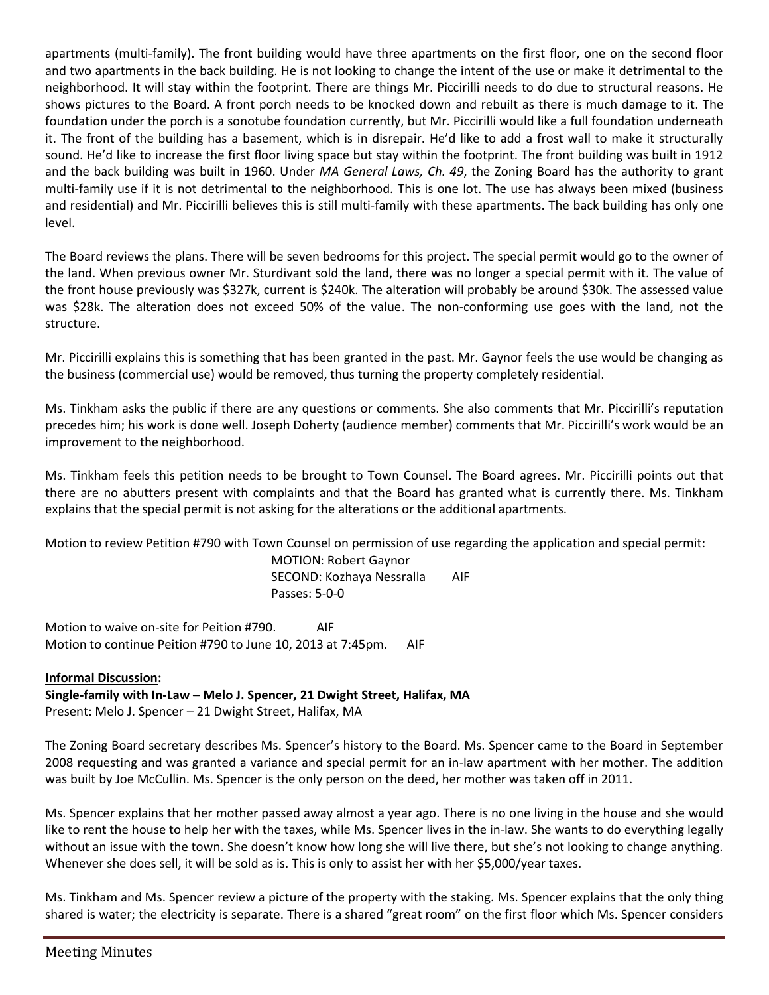apartments (multi-family). The front building would have three apartments on the first floor, one on the second floor and two apartments in the back building. He is not looking to change the intent of the use or make it detrimental to the neighborhood. It will stay within the footprint. There are things Mr. Piccirilli needs to do due to structural reasons. He shows pictures to the Board. A front porch needs to be knocked down and rebuilt as there is much damage to it. The foundation under the porch is a sonotube foundation currently, but Mr. Piccirilli would like a full foundation underneath it. The front of the building has a basement, which is in disrepair. He'd like to add a frost wall to make it structurally sound. He'd like to increase the first floor living space but stay within the footprint. The front building was built in 1912 and the back building was built in 1960. Under *MA General Laws, Ch. 49*, the Zoning Board has the authority to grant multi-family use if it is not detrimental to the neighborhood. This is one lot. The use has always been mixed (business and residential) and Mr. Piccirilli believes this is still multi-family with these apartments. The back building has only one level.

The Board reviews the plans. There will be seven bedrooms for this project. The special permit would go to the owner of the land. When previous owner Mr. Sturdivant sold the land, there was no longer a special permit with it. The value of the front house previously was \$327k, current is \$240k. The alteration will probably be around \$30k. The assessed value was \$28k. The alteration does not exceed 50% of the value. The non-conforming use goes with the land, not the structure.

Mr. Piccirilli explains this is something that has been granted in the past. Mr. Gaynor feels the use would be changing as the business (commercial use) would be removed, thus turning the property completely residential.

Ms. Tinkham asks the public if there are any questions or comments. She also comments that Mr. Piccirilli's reputation precedes him; his work is done well. Joseph Doherty (audience member) comments that Mr. Piccirilli's work would be an improvement to the neighborhood.

Ms. Tinkham feels this petition needs to be brought to Town Counsel. The Board agrees. Mr. Piccirilli points out that there are no abutters present with complaints and that the Board has granted what is currently there. Ms. Tinkham explains that the special permit is not asking for the alterations or the additional apartments.

Motion to review Petition #790 with Town Counsel on permission of use regarding the application and special permit:

MOTION: Robert Gaynor SECOND: Kozhaya Nessralla AIF Passes: 5-0-0

Motion to waive on-site for Peition #790. AIF Motion to continue Peition #790 to June 10, 2013 at 7:45pm. AIF

## **Informal Discussion:**

**Single-family with In-Law – Melo J. Spencer, 21 Dwight Street, Halifax, MA**

Present: Melo J. Spencer – 21 Dwight Street, Halifax, MA

The Zoning Board secretary describes Ms. Spencer's history to the Board. Ms. Spencer came to the Board in September 2008 requesting and was granted a variance and special permit for an in-law apartment with her mother. The addition was built by Joe McCullin. Ms. Spencer is the only person on the deed, her mother was taken off in 2011.

Ms. Spencer explains that her mother passed away almost a year ago. There is no one living in the house and she would like to rent the house to help her with the taxes, while Ms. Spencer lives in the in-law. She wants to do everything legally without an issue with the town. She doesn't know how long she will live there, but she's not looking to change anything. Whenever she does sell, it will be sold as is. This is only to assist her with her \$5,000/year taxes.

Ms. Tinkham and Ms. Spencer review a picture of the property with the staking. Ms. Spencer explains that the only thing shared is water; the electricity is separate. There is a shared "great room" on the first floor which Ms. Spencer considers